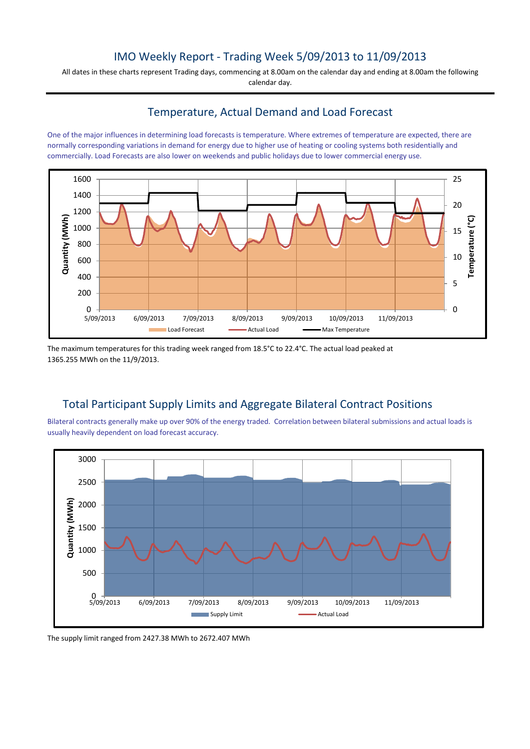## IMO Weekly Report - Trading Week 5/09/2013 to 11/09/2013

All dates in these charts represent Trading days, commencing at 8.00am on the calendar day and ending at 8.00am the following calendar day.

### Temperature, Actual Demand and Load Forecast

One of the major influences in determining load forecasts is temperature. Where extremes of temperature are expected, there are normally corresponding variations in demand for energy due to higher use of heating or cooling systems both residentially and commercially. Load Forecasts are also lower on weekends and public holidays due to lower commercial energy use.



The maximum temperatures for this trading week ranged from 18.5°C to 22.4°C. The actual load peaked at 1365.255 MWh on the 11/9/2013.

# Total Participant Supply Limits and Aggregate Bilateral Contract Positions

Bilateral contracts generally make up over 90% of the energy traded. Correlation between bilateral submissions and actual loads is usually heavily dependent on load forecast accuracy.



The supply limit ranged from 2427.38 MWh to 2672.407 MWh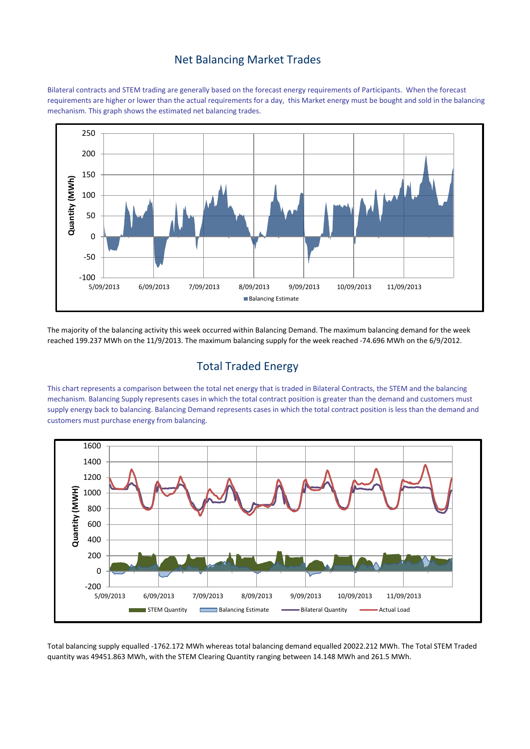#### Net Balancing Market Trades

Bilateral contracts and STEM trading are generally based on the forecast energy requirements of Participants. When the forecast requirements are higher or lower than the actual requirements for a day, this Market energy must be bought and sold in the balancing mechanism. This graph shows the estimated net balancing trades.



The majority of the balancing activity this week occurred within Balancing Demand. The maximum balancing demand for the week reached 199.237 MWh on the 11/9/2013. The maximum balancing supply for the week reached -74.696 MWh on the 6/9/2012.

## Total Traded Energy

This chart represents a comparison between the total net energy that is traded in Bilateral Contracts, the STEM and the balancing mechanism. Balancing Supply represents cases in which the total contract position is greater than the demand and customers must supply energy back to balancing. Balancing Demand represents cases in which the total contract position is less than the demand and customers must purchase energy from balancing.



Total balancing supply equalled -1762.172 MWh whereas total balancing demand equalled 20022.212 MWh. The Total STEM Traded quantity was 49451.863 MWh, with the STEM Clearing Quantity ranging between 14.148 MWh and 261.5 MWh.